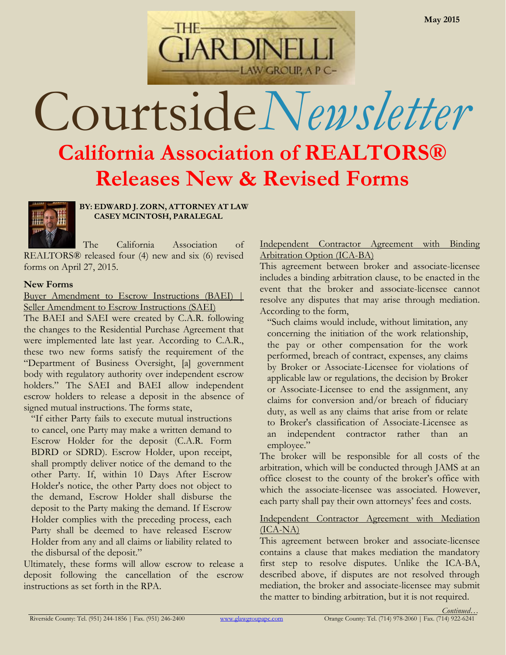

# Courtside*Newsletter*

## **California Association of REALTORS® Releases New & Revised Forms**



**BY: EDWARD J. ZORN, ATTORNEY AT LAW CASEY MCINTOSH, PARALEGAL**

The California Association of REALTORS® released four (4) new and six (6) revised forms on April 27, 2015.

#### **New Forms**

#### Buyer Amendment to Escrow Instructions (BAEI) | Seller Amendment to Escrow Instructions (SAEI)

The BAEI and SAEI were created by C.A.R. following the changes to the Residential Purchase Agreement that were implemented late last year. According to C.A.R., these two new forms satisfy the requirement of the "Department of Business Oversight, [a] government body with regulatory authority over independent escrow holders." The SAEI and BAEI allow independent escrow holders to release a deposit in the absence of signed mutual instructions. The forms state,

"If either Party fails to execute mutual instructions to cancel, one Party may make a written demand to Escrow Holder for the deposit (C.A.R. Form BDRD or SDRD). Escrow Holder, upon receipt, shall promptly deliver notice of the demand to the other Party. If, within 10 Days After Escrow Holder's notice, the other Party does not object to the demand, Escrow Holder shall disburse the deposit to the Party making the demand. If Escrow Holder complies with the preceding process, each Party shall be deemed to have released Escrow Holder from any and all claims or liability related to the disbursal of the deposit."

Ultimately, these forms will allow escrow to release a deposit following the cancellation of the escrow instructions as set forth in the RPA.

#### Independent Contractor Agreement with Binding Arbitration Option (ICA-BA)

This agreement between broker and associate-licensee includes a binding arbitration clause, to be enacted in the event that the broker and associate-licensee cannot resolve any disputes that may arise through mediation. According to the form,

"Such claims would include, without limitation, any concerning the initiation of the work relationship, the pay or other compensation for the work performed, breach of contract, expenses, any claims by Broker or Associate-Licensee for violations of applicable law or regulations, the decision by Broker or Associate-Licensee to end the assignment, any claims for conversion and/or breach of fiduciary duty, as well as any claims that arise from or relate to Broker's classification of Associate-Licensee as an independent contractor rather than an employee."

The broker will be responsible for all costs of the arbitration, which will be conducted through JAMS at an office closest to the county of the broker's office with which the associate-licensee was associated. However, each party shall pay their own attorneys' fees and costs.

#### Independent Contractor Agreement with Mediation (ICA-NA)

This agreement between broker and associate-licensee contains a clause that makes mediation the mandatory first step to resolve disputes. Unlike the ICA-BA, described above, if disputes are not resolved through mediation, the broker and associate-licensee may submit the matter to binding arbitration, but it is not required.